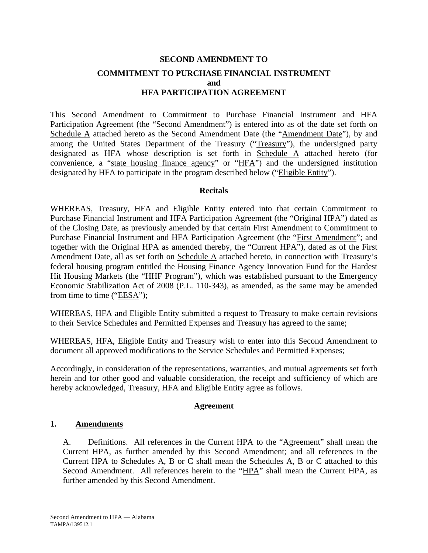# **SECOND AMENDMENT TO COMMITMENT TO PURCHASE FINANCIAL INSTRUMENT and HFA PARTICIPATION AGREEMENT**

This Second Amendment to Commitment to Purchase Financial Instrument and HFA Participation Agreement (the "Second Amendment") is entered into as of the date set forth on Schedule A attached hereto as the Second Amendment Date (the "Amendment Date"), by and among the United States Department of the Treasury ("Treasury"), the undersigned party designated as HFA whose description is set forth in Schedule A attached hereto (for convenience, a "state housing finance agency" or "HFA") and the undersigned institution designated by HFA to participate in the program described below ("Eligible Entity").

## **Recitals**

WHEREAS, Treasury, HFA and Eligible Entity entered into that certain Commitment to Purchase Financial Instrument and HFA Participation Agreement (the "Original HPA") dated as of the Closing Date, as previously amended by that certain First Amendment to Commitment to Purchase Financial Instrument and HFA Participation Agreement (the "First Amendment"; and together with the Original HPA as amended thereby, the "Current HPA"), dated as of the First Amendment Date, all as set forth on Schedule A attached hereto, in connection with Treasury's federal housing program entitled the Housing Finance Agency Innovation Fund for the Hardest Hit Housing Markets (the "HHF Program"), which was established pursuant to the Emergency Economic Stabilization Act of 2008 (P.L. 110-343), as amended, as the same may be amended from time to time ("EESA");

WHEREAS, HFA and Eligible Entity submitted a request to Treasury to make certain revisions to their Service Schedules and Permitted Expenses and Treasury has agreed to the same;

WHEREAS, HFA, Eligible Entity and Treasury wish to enter into this Second Amendment to document all approved modifications to the Service Schedules and Permitted Expenses;

Accordingly, in consideration of the representations, warranties, and mutual agreements set forth herein and for other good and valuable consideration, the receipt and sufficiency of which are hereby acknowledged, Treasury, HFA and Eligible Entity agree as follows.

## **Agreement**

## **1. Amendments**

A. Definitions. All references in the Current HPA to the "Agreement" shall mean the Current HPA, as further amended by this Second Amendment; and all references in the Current HPA to Schedules A, B or C shall mean the Schedules A, B or C attached to this Second Amendment. All references herein to the "HPA" shall mean the Current HPA, as further amended by this Second Amendment.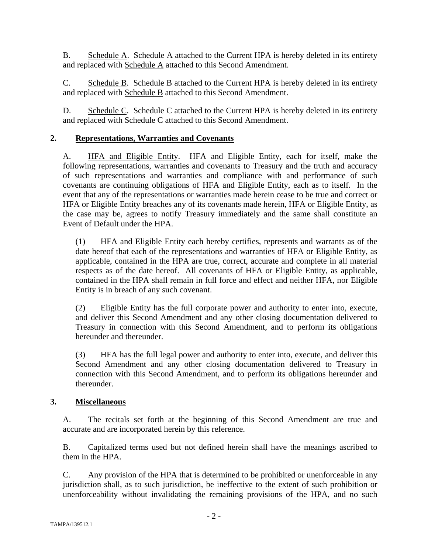B. Schedule A. Schedule A attached to the Current HPA is hereby deleted in its entirety and replaced with Schedule A attached to this Second Amendment.

C. Schedule B. Schedule B attached to the Current HPA is hereby deleted in its entirety and replaced with Schedule B attached to this Second Amendment.

D. Schedule C. Schedule C attached to the Current HPA is hereby deleted in its entirety and replaced with Schedule C attached to this Second Amendment.

## **2. Representations, Warranties and Covenants**

A. HFA and Eligible Entity. HFA and Eligible Entity, each for itself, make the following representations, warranties and covenants to Treasury and the truth and accuracy of such representations and warranties and compliance with and performance of such covenants are continuing obligations of HFA and Eligible Entity, each as to itself. In the event that any of the representations or warranties made herein cease to be true and correct or HFA or Eligible Entity breaches any of its covenants made herein, HFA or Eligible Entity, as the case may be, agrees to notify Treasury immediately and the same shall constitute an Event of Default under the HPA.

(1) HFA and Eligible Entity each hereby certifies, represents and warrants as of the date hereof that each of the representations and warranties of HFA or Eligible Entity, as applicable, contained in the HPA are true, correct, accurate and complete in all material respects as of the date hereof. All covenants of HFA or Eligible Entity, as applicable, contained in the HPA shall remain in full force and effect and neither HFA, nor Eligible Entity is in breach of any such covenant.

(2) Eligible Entity has the full corporate power and authority to enter into, execute, and deliver this Second Amendment and any other closing documentation delivered to Treasury in connection with this Second Amendment, and to perform its obligations hereunder and thereunder.

(3) HFA has the full legal power and authority to enter into, execute, and deliver this Second Amendment and any other closing documentation delivered to Treasury in connection with this Second Amendment, and to perform its obligations hereunder and thereunder.

## **3. Miscellaneous**

A. The recitals set forth at the beginning of this Second Amendment are true and accurate and are incorporated herein by this reference.

B. Capitalized terms used but not defined herein shall have the meanings ascribed to them in the HPA.

C. Any provision of the HPA that is determined to be prohibited or unenforceable in any jurisdiction shall, as to such jurisdiction, be ineffective to the extent of such prohibition or unenforceability without invalidating the remaining provisions of the HPA, and no such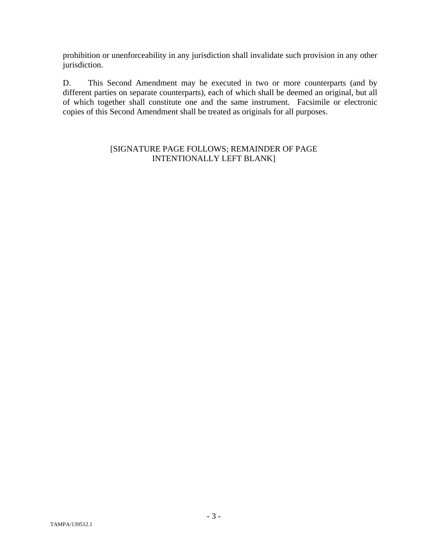prohibition or unenforceability in any jurisdiction shall invalidate such provision in any other jurisdiction.

D. This Second Amendment may be executed in two or more counterparts (and by different parties on separate counterparts), each of which shall be deemed an original, but all of which together shall constitute one and the same instrument. Facsimile or electronic copies of this Second Amendment shall be treated as originals for all purposes.

## [SIGNATURE PAGE FOLLOWS; REMAINDER OF PAGE INTENTIONALLY LEFT BLANK]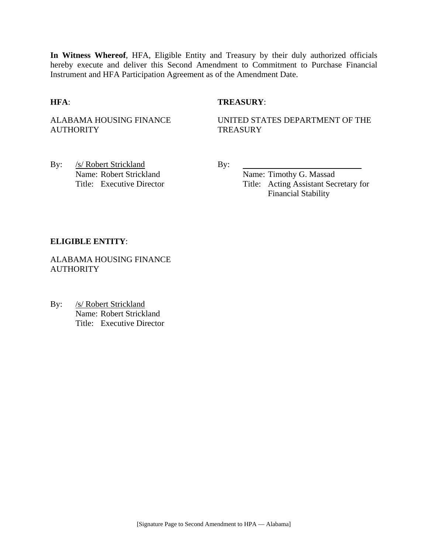**In Witness Whereof**, HFA, Eligible Entity and Treasury by their duly authorized officials hereby execute and deliver this Second Amendment to Commitment to Purchase Financial Instrument and HFA Participation Agreement as of the Amendment Date.

## **HFA**: **TREASURY**:

ALABAMA HOUSING FINANCE **AUTHORITY** 

UNITED STATES DEPARTMENT OF THE **TREASURY** 

By: /s/ Robert Strickland By: Name: Robert Strickland Name: Timothy G. Massad

Title: Executive Director Title: Acting Assistant Secretary for Financial Stability

#### **ELIGIBLE ENTITY**:

ALABAMA HOUSING FINANCE **AUTHORITY** 

By: /s/ Robert Strickland Name: Robert Strickland Title: Executive Director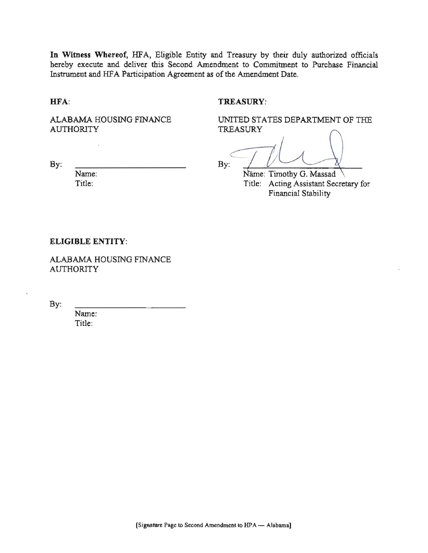In Witness Whereof, HFA, Eligible Entity and Treasury by their duly authorized officials hereby execute and deliver this Second Amendment to Commitment to Purchase Financial Instrument and HFA Participation Agreement as of the Amendment Date.

HFA:

### TREASURY:

ALABAMA HOUSING FINANCE **AUTHORITY** 

UNITED STATES DEPARTMENT OF THE **TREASURY** 

By:

By:

Name: Title:

Name: Timothy G. Massad Title: Acting Assistant Secretary for Financial Stability

#### **ELIGIBLE ENTITY:**

ALABAMA HOUSING FINANCE **AUTHORITY** 

By:

Name: Title: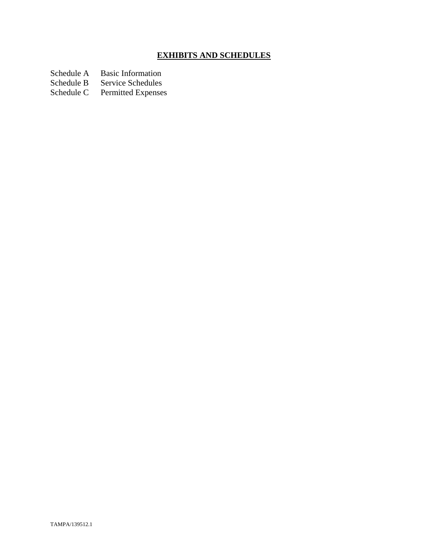# **EXHIBITS AND SCHEDULES**

Schedule A Basic Information<br>Schedule B Service Schedules

Schedule B Service Schedules<br>Schedule C Permitted Expenses

Permitted Expenses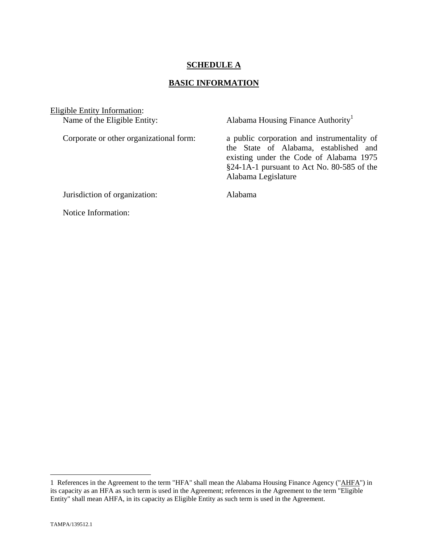## **SCHEDULE A**

## **BASIC INFORMATION**

Eligible Entity Information:<br>Name of the Eligible Entity:

Alabama Housing Finance Authority<sup>1</sup>

Corporate or other organizational form: a public corporation and instrumentality of the State of Alabama, established and existing under the Code of Alabama 1975 §24-1A-1 pursuant to Act No. 80-585 of the Alabama Legislature

Jurisdiction of organization: Alabama

Notice Information:

 $\overline{a}$ 

<sup>1</sup> References in the Agreement to the term "HFA" shall mean the Alabama Housing Finance Agency ("AHFA") in its capacity as an HFA as such term is used in the Agreement; references in the Agreement to the term "Eligible Entity" shall mean AHFA, in its capacity as Eligible Entity as such term is used in the Agreement.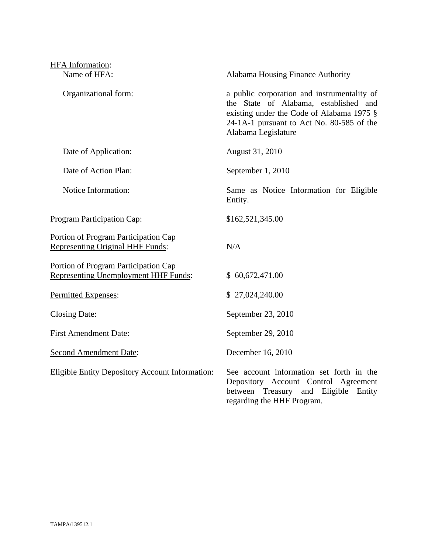| <b>HFA</b> Information:                                                             |                                                                                                                                                                                                       |  |
|-------------------------------------------------------------------------------------|-------------------------------------------------------------------------------------------------------------------------------------------------------------------------------------------------------|--|
| Name of HFA:                                                                        | Alabama Housing Finance Authority                                                                                                                                                                     |  |
| Organizational form:                                                                | a public corporation and instrumentality of<br>the State of Alabama, established and<br>existing under the Code of Alabama 1975 §<br>24-1A-1 pursuant to Act No. 80-585 of the<br>Alabama Legislature |  |
| Date of Application:                                                                | August 31, 2010                                                                                                                                                                                       |  |
| Date of Action Plan:                                                                | September 1, 2010                                                                                                                                                                                     |  |
| Notice Information:                                                                 | Same as Notice Information for Eligible<br>Entity.                                                                                                                                                    |  |
| <b>Program Participation Cap:</b>                                                   | \$162,521,345.00                                                                                                                                                                                      |  |
| Portion of Program Participation Cap<br><b>Representing Original HHF Funds:</b>     | N/A                                                                                                                                                                                                   |  |
| Portion of Program Participation Cap<br><b>Representing Unemployment HHF Funds:</b> | \$60,672,471.00                                                                                                                                                                                       |  |
| Permitted Expenses:                                                                 | \$27,024,240.00                                                                                                                                                                                       |  |
| Closing Date:                                                                       | September 23, 2010                                                                                                                                                                                    |  |
| <b>First Amendment Date:</b>                                                        | September 29, 2010                                                                                                                                                                                    |  |
| <b>Second Amendment Date:</b>                                                       | December 16, 2010                                                                                                                                                                                     |  |
| <b>Eligible Entity Depository Account Information:</b>                              | See account information set forth in the<br>Depository Account Control Agreement<br>Treasury and Eligible Entity<br>between<br>regarding the HHF Program.                                             |  |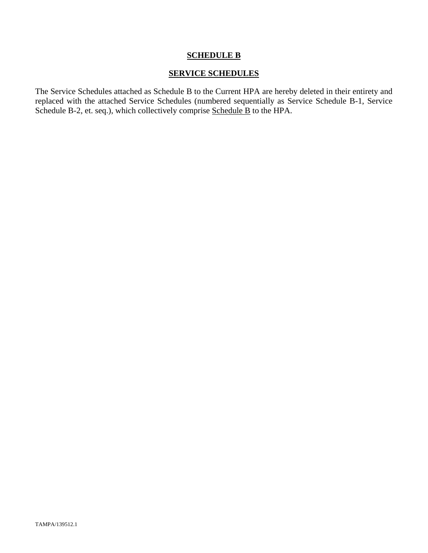## **SCHEDULE B**

## **SERVICE SCHEDULES**

The Service Schedules attached as Schedule B to the Current HPA are hereby deleted in their entirety and replaced with the attached Service Schedules (numbered sequentially as Service Schedule B-1, Service Schedule B-2, et. seq.), which collectively comprise Schedule B to the HPA.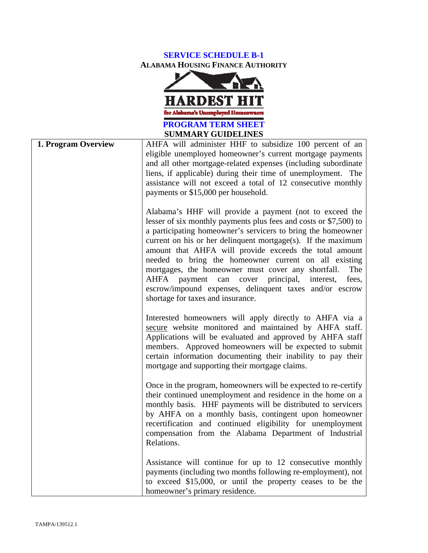# **SERVICE SCHEDULE B-1 ALABAMA HOUSING FINANCE AUTHORITY**



| <b>SUMMARY GUIDELINES</b> |                                                                                                                                                                                                                                                                                                                                                                                                                                                                                                                                                                                                                                |  |
|---------------------------|--------------------------------------------------------------------------------------------------------------------------------------------------------------------------------------------------------------------------------------------------------------------------------------------------------------------------------------------------------------------------------------------------------------------------------------------------------------------------------------------------------------------------------------------------------------------------------------------------------------------------------|--|
| 1. Program Overview       | AHFA will administer HHF to subsidize 100 percent of an<br>eligible unemployed homeowner's current mortgage payments<br>and all other mortgage-related expenses (including subordinate<br>liens, if applicable) during their time of unemployment. The<br>assistance will not exceed a total of 12 consecutive monthly<br>payments or \$15,000 per household.                                                                                                                                                                                                                                                                  |  |
|                           | Alabama's HHF will provide a payment (not to exceed the<br>lesser of six monthly payments plus fees and costs or \$7,500) to<br>a participating homeowner's servicers to bring the homeowner<br>current on his or her delinquent mortgage $(s)$ . If the maximum<br>amount that AHFA will provide exceeds the total amount<br>needed to bring the homeowner current on all existing<br>mortgages, the homeowner must cover any shortfall.<br>The<br><b>AHFA</b><br>payment<br>can<br>cover<br>principal,<br>fees,<br>interest,<br>escrow/impound expenses, delinquent taxes and/or escrow<br>shortage for taxes and insurance. |  |
|                           | Interested homeowners will apply directly to AHFA via a<br>secure website monitored and maintained by AHFA staff.<br>Applications will be evaluated and approved by AHFA staff<br>members. Approved homeowners will be expected to submit<br>certain information documenting their inability to pay their<br>mortgage and supporting their mortgage claims.                                                                                                                                                                                                                                                                    |  |
|                           | Once in the program, homeowners will be expected to re-certify<br>their continued unemployment and residence in the home on a<br>monthly basis. HHF payments will be distributed to servicers<br>by AHFA on a monthly basis, contingent upon homeowner<br>recertification and continued eligibility for unemployment<br>compensation from the Alabama Department of Industrial<br>Relations.                                                                                                                                                                                                                                   |  |
|                           | Assistance will continue for up to 12 consecutive monthly<br>payments (including two months following re-employment), not<br>to exceed \$15,000, or until the property ceases to be the<br>homeowner's primary residence.                                                                                                                                                                                                                                                                                                                                                                                                      |  |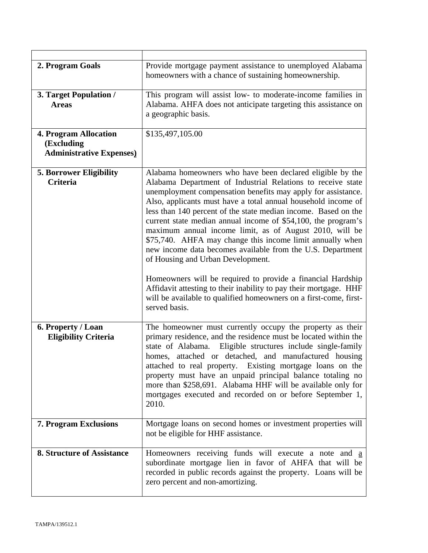| 2. Program Goals                                                       | Provide mortgage payment assistance to unemployed Alabama<br>homeowners with a chance of sustaining homeownership.                                                                                                                                                                                                                                                                                                                                                                                                                                                                                                                                                                                                                                          |
|------------------------------------------------------------------------|-------------------------------------------------------------------------------------------------------------------------------------------------------------------------------------------------------------------------------------------------------------------------------------------------------------------------------------------------------------------------------------------------------------------------------------------------------------------------------------------------------------------------------------------------------------------------------------------------------------------------------------------------------------------------------------------------------------------------------------------------------------|
| 3. Target Population /<br><b>Areas</b>                                 | This program will assist low- to moderate-income families in<br>Alabama. AHFA does not anticipate targeting this assistance on<br>a geographic basis.                                                                                                                                                                                                                                                                                                                                                                                                                                                                                                                                                                                                       |
| 4. Program Allocation<br>(Excluding<br><b>Administrative Expenses)</b> | \$135,497,105.00                                                                                                                                                                                                                                                                                                                                                                                                                                                                                                                                                                                                                                                                                                                                            |
| <b>5. Borrower Eligibility</b><br><b>Criteria</b>                      | Alabama homeowners who have been declared eligible by the<br>Alabama Department of Industrial Relations to receive state<br>unemployment compensation benefits may apply for assistance.<br>Also, applicants must have a total annual household income of<br>less than 140 percent of the state median income. Based on the<br>current state median annual income of \$54,100, the program's<br>maximum annual income limit, as of August 2010, will be<br>\$75,740. AHFA may change this income limit annually when<br>new income data becomes available from the U.S. Department<br>of Housing and Urban Development.<br>Homeowners will be required to provide a financial Hardship<br>Affidavit attesting to their inability to pay their mortgage. HHF |
|                                                                        | will be available to qualified homeowners on a first-come, first-<br>served basis.                                                                                                                                                                                                                                                                                                                                                                                                                                                                                                                                                                                                                                                                          |
| 6. Property / Loan<br><b>Eligibility Criteria</b>                      | The homeowner must currently occupy the property as their<br>primary residence, and the residence must be located within the<br>state of Alabama. Eligible structures include single-family<br>homes, attached or detached, and manufactured housing<br>attached to real property. Existing mortgage loans on the<br>property must have an unpaid principal balance totaling no<br>more than \$258,691. Alabama HHF will be available only for<br>mortgages executed and recorded on or before September 1,<br>2010.                                                                                                                                                                                                                                        |
| 7. Program Exclusions                                                  | Mortgage loans on second homes or investment properties will<br>not be eligible for HHF assistance.                                                                                                                                                                                                                                                                                                                                                                                                                                                                                                                                                                                                                                                         |
| <b>8. Structure of Assistance</b>                                      | Homeowners receiving funds will execute a note and a<br>subordinate mortgage lien in favor of AHFA that will be<br>recorded in public records against the property. Loans will be<br>zero percent and non-amortizing.                                                                                                                                                                                                                                                                                                                                                                                                                                                                                                                                       |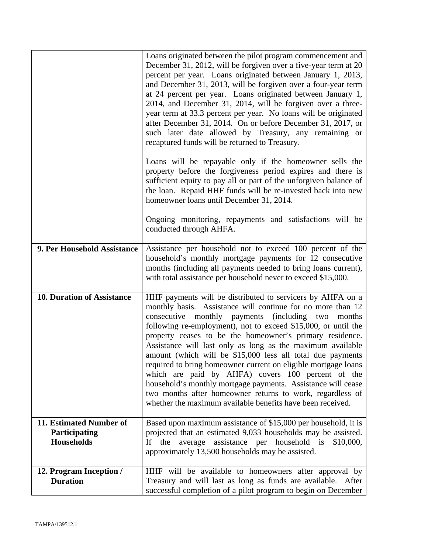|                                                               | Loans originated between the pilot program commencement and<br>December 31, 2012, will be forgiven over a five-year term at 20<br>percent per year. Loans originated between January 1, 2013,<br>and December 31, 2013, will be forgiven over a four-year term<br>at 24 percent per year. Loans originated between January 1,<br>2014, and December 31, 2014, will be forgiven over a three-<br>year term at 33.3 percent per year. No loans will be originated<br>after December 31, 2014. On or before December 31, 2017, or<br>such later date allowed by Treasury, any remaining or<br>recaptured funds will be returned to Treasury.                                                                                                                   |
|---------------------------------------------------------------|-------------------------------------------------------------------------------------------------------------------------------------------------------------------------------------------------------------------------------------------------------------------------------------------------------------------------------------------------------------------------------------------------------------------------------------------------------------------------------------------------------------------------------------------------------------------------------------------------------------------------------------------------------------------------------------------------------------------------------------------------------------|
|                                                               | Loans will be repayable only if the homeowner sells the<br>property before the forgiveness period expires and there is<br>sufficient equity to pay all or part of the unforgiven balance of<br>the loan. Repaid HHF funds will be re-invested back into new<br>homeowner loans until December 31, 2014.                                                                                                                                                                                                                                                                                                                                                                                                                                                     |
|                                                               | Ongoing monitoring, repayments and satisfactions will be<br>conducted through AHFA.                                                                                                                                                                                                                                                                                                                                                                                                                                                                                                                                                                                                                                                                         |
| 9. Per Household Assistance                                   | Assistance per household not to exceed 100 percent of the<br>household's monthly mortgage payments for 12 consecutive<br>months (including all payments needed to bring loans current),<br>with total assistance per household never to exceed \$15,000.                                                                                                                                                                                                                                                                                                                                                                                                                                                                                                    |
| <b>10. Duration of Assistance</b>                             | HHF payments will be distributed to servicers by AHFA on a<br>monthly basis. Assistance will continue for no more than 12<br>consecutive monthly payments (including two months<br>following re-employment), not to exceed \$15,000, or until the<br>property ceases to be the homeowner's primary residence.<br>Assistance will last only as long as the maximum available<br>amount (which will be \$15,000 less all total due payments<br>required to bring homeowner current on eligible mortgage loans<br>which are paid by AHFA) covers 100 percent of the<br>household's monthly mortgage payments. Assistance will cease<br>two months after homeowner returns to work, regardless of<br>whether the maximum available benefits have been received. |
| 11. Estimated Number of<br>Participating<br><b>Households</b> | Based upon maximum assistance of \$15,000 per household, it is<br>projected that an estimated 9,033 households may be assisted.<br>average assistance per household is<br>the<br>\$10,000,<br>If<br>approximately 13,500 households may be assisted.                                                                                                                                                                                                                                                                                                                                                                                                                                                                                                        |
| 12. Program Inception /<br><b>Duration</b>                    | HHF will be available to homeowners after approval by<br>Treasury and will last as long as funds are available. After<br>successful completion of a pilot program to begin on December                                                                                                                                                                                                                                                                                                                                                                                                                                                                                                                                                                      |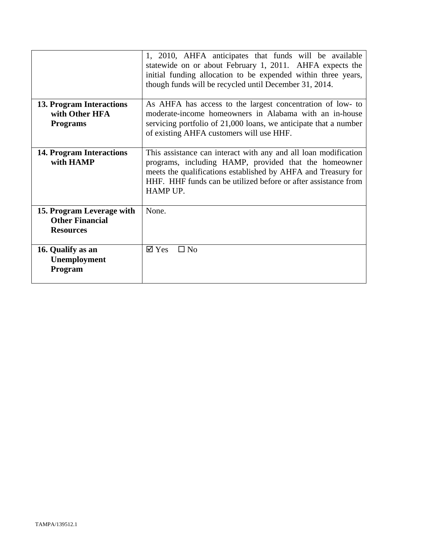|                                                                         | 1, 2010, AHFA anticipates that funds will be available<br>statewide on or about February 1, 2011. AHFA expects the<br>initial funding allocation to be expended within three years,<br>though funds will be recycled until December 31, 2014.                           |  |
|-------------------------------------------------------------------------|-------------------------------------------------------------------------------------------------------------------------------------------------------------------------------------------------------------------------------------------------------------------------|--|
| <b>13. Program Interactions</b><br>with Other HFA<br><b>Programs</b>    | As AHFA has access to the largest concentration of low- to<br>moderate-income homeowners in Alabama with an in-house<br>servicing portfolio of 21,000 loans, we anticipate that a number<br>of existing AHFA customers will use HHF.                                    |  |
| 14. Program Interactions<br>with HAMP                                   | This assistance can interact with any and all loan modification<br>programs, including HAMP, provided that the homeowner<br>meets the qualifications established by AHFA and Treasury for<br>HHF. HHF funds can be utilized before or after assistance from<br>HAMP UP. |  |
| 15. Program Leverage with<br><b>Other Financial</b><br><b>Resources</b> | None.                                                                                                                                                                                                                                                                   |  |
| 16. Qualify as an<br>Unemployment<br>Program                            | $\square$ No<br>$\boxtimes$ Yes                                                                                                                                                                                                                                         |  |